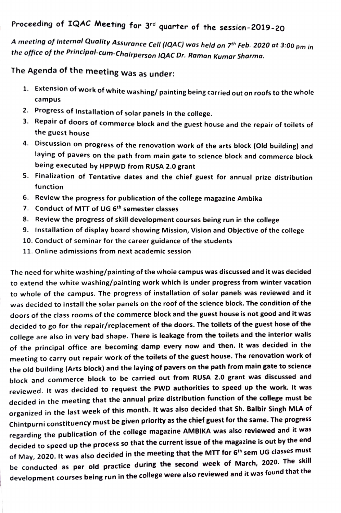## Proceeding of IQAC Meeting for 3rd quarter of the session-2019-20

A meeting of Internal Quality Assurance Cell (IQAC) was held on 7th Feb. 2020 at 3:00 pm in the office of the Principal-cum-Chairperson 1QAC Dr. Raman Kumar Sharma.

The Agenda of the meeting was as under:

- 1. Extension of work of white washing/ painting being carried out on roofs to the whole campus
- 2. Progress of Installation of solar panels in the college.
- 3. Repair of doors of commerce block and the guest house and the repair of toilets of the guest house
- 4. Discussion on progress of the renovation work of the arts block (Old building) laying of pavers on the path from main gate to science block and commerce block being executed by HPPWD from RUSA 2.0 grant
- . Finalization of Tentative dates and the chief guest for annual prize distribution function
- 6. Review the progress for publication of the college magazine Ambika
- 7. Conduct of MTT of UG 6<sup>th</sup> semester classes
- 8. Review the progress of skill development courses being run in the college
- 9. Installation of display board showing Mission, Vision and Objective of the college
- 10. Conduct of seminar for the career guidance of the students
- 11. Online admissions from next academic session

The need for white washing/painting of the whoie campus was discussed and it was decided to extend the white washing/painting work which is under progress from winter vacation to whole of the campus. The progress of installation of solar panels was reviewed and it was decided to install the solar panels on the roof of the science block. The condition of the doors of the class rooms of the commerce block and the guest house is not good and it was decided to go for the repair/replacement of the doors. The toilets of the guest hose of the college are also in very bad shape. There is leakage from the toilets and the interior walls of the principal office are becoming damp every now and then. It was decided in the meeting to carry out repair work of the toilets of the guest house. The renovation work of the old building (Arts block) and the laying of pavers on the path from main gate to science block and commerce block to be carried out from RUSA 2.0 grant was discussed and reviewed. It was decided to request the PWD authorities to speed up the work. It was decided in the meeting that the annual prize distribution function of the college must be organized in the last week of this month. It was also decided that Sh. Balbir Singh MLA of Chintpurni constituency must be given priority as the chief guest for the same. The progress regarding the publication of the college magazine AMBIKA was also reviewed and it was decided to speed up the process so that the current issue of the magazine is out by the end of May, 2020. It was also decided in the meeting that the MTT for 6<sup>th</sup> sem UG classes must be conducted as per old practice during the second week of March, 2020. The skill development courses being run in the college were also reviewed and it was found that the